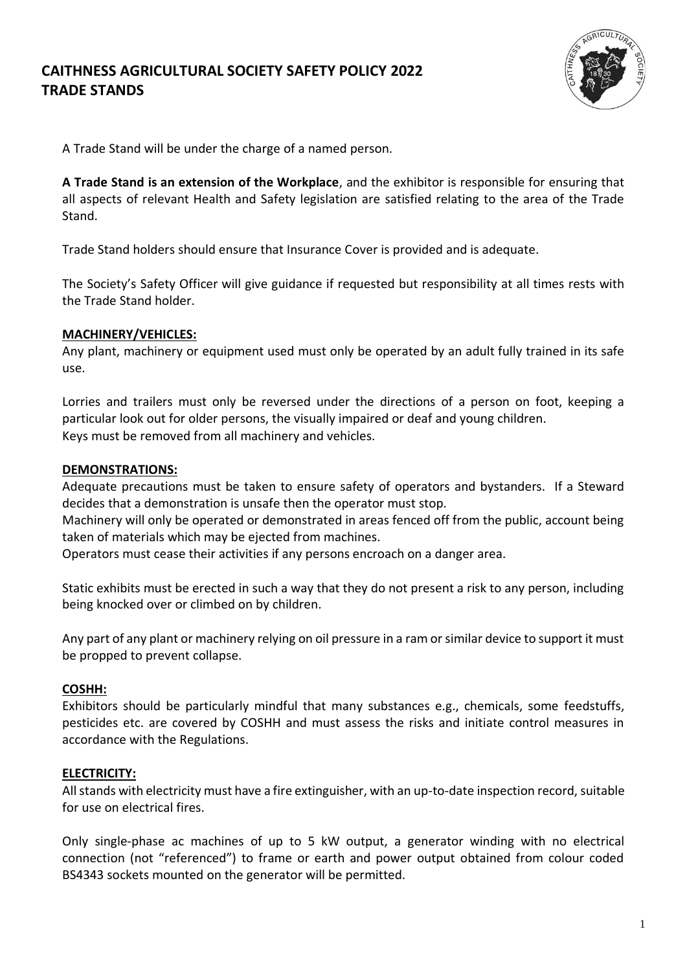# **CAITHNESS AGRICULTURAL SOCIETY SAFETY POLICY 2022 TRADE STANDS**



A Trade Stand will be under the charge of a named person.

**A Trade Stand is an extension of the Workplace**, and the exhibitor is responsible for ensuring that all aspects of relevant Health and Safety legislation are satisfied relating to the area of the Trade Stand.

Trade Stand holders should ensure that Insurance Cover is provided and is adequate.

The Society's Safety Officer will give guidance if requested but responsibility at all times rests with the Trade Stand holder.

# **MACHINERY/VEHICLES:**

Any plant, machinery or equipment used must only be operated by an adult fully trained in its safe use.

Lorries and trailers must only be reversed under the directions of a person on foot, keeping a particular look out for older persons, the visually impaired or deaf and young children. Keys must be removed from all machinery and vehicles.

## **DEMONSTRATIONS:**

Adequate precautions must be taken to ensure safety of operators and bystanders. If a Steward decides that a demonstration is unsafe then the operator must stop.

Machinery will only be operated or demonstrated in areas fenced off from the public, account being taken of materials which may be ejected from machines.

Operators must cease their activities if any persons encroach on a danger area.

Static exhibits must be erected in such a way that they do not present a risk to any person, including being knocked over or climbed on by children.

Any part of any plant or machinery relying on oil pressure in a ram or similar device to support it must be propped to prevent collapse.

# **COSHH:**

Exhibitors should be particularly mindful that many substances e.g., chemicals, some feedstuffs, pesticides etc. are covered by COSHH and must assess the risks and initiate control measures in accordance with the Regulations.

#### **ELECTRICITY:**

All stands with electricity must have a fire extinguisher, with an up-to-date inspection record, suitable for use on electrical fires.

Only single-phase ac machines of up to 5 kW output, a generator winding with no electrical connection (not "referenced") to frame or earth and power output obtained from colour coded BS4343 sockets mounted on the generator will be permitted.